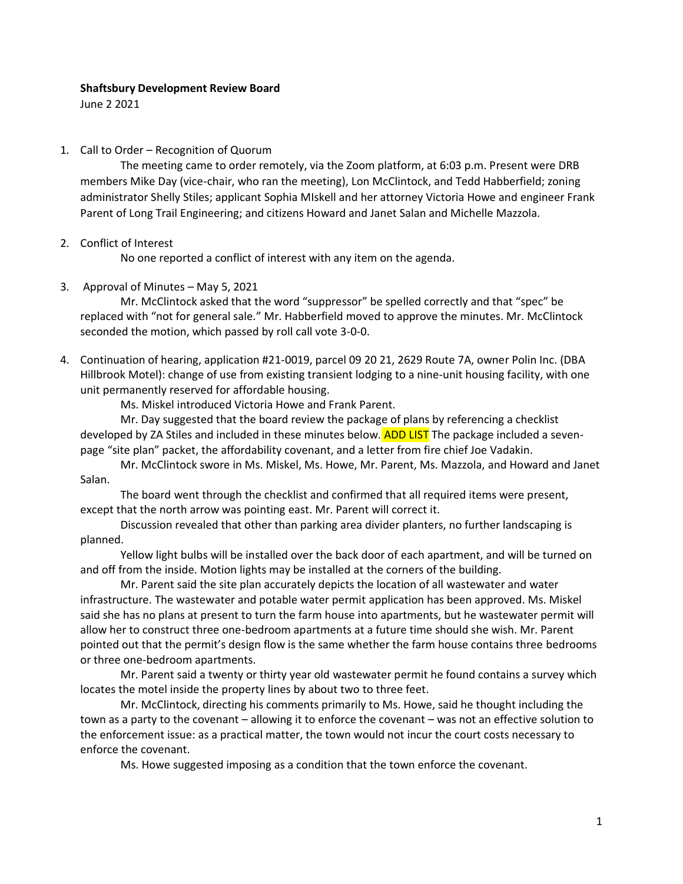## **Shaftsbury Development Review Board**

June 2 2021

## 1. Call to Order – Recognition of Quorum

The meeting came to order remotely, via the Zoom platform, at 6:03 p.m. Present were DRB members Mike Day (vice-chair, who ran the meeting), Lon McClintock, and Tedd Habberfield; zoning administrator Shelly Stiles; applicant Sophia MIskell and her attorney Victoria Howe and engineer Frank Parent of Long Trail Engineering; and citizens Howard and Janet Salan and Michelle Mazzola.

## 2. Conflict of Interest

No one reported a conflict of interest with any item on the agenda.

3. Approval of Minutes – May 5, 2021

Mr. McClintock asked that the word "suppressor" be spelled correctly and that "spec" be replaced with "not for general sale." Mr. Habberfield moved to approve the minutes. Mr. McClintock seconded the motion, which passed by roll call vote 3-0-0.

4. Continuation of hearing, application #21-0019, parcel 09 20 21, 2629 Route 7A, owner Polin Inc. (DBA Hillbrook Motel): change of use from existing transient lodging to a nine-unit housing facility, with one unit permanently reserved for affordable housing.

Ms. Miskel introduced Victoria Howe and Frank Parent.

Mr. Day suggested that the board review the package of plans by referencing a checklist developed by ZA Stiles and included in these minutes below. ADD LIST The package included a sevenpage "site plan" packet, the affordability covenant, and a letter from fire chief Joe Vadakin.

Mr. McClintock swore in Ms. Miskel, Ms. Howe, Mr. Parent, Ms. Mazzola, and Howard and Janet Salan.

The board went through the checklist and confirmed that all required items were present, except that the north arrow was pointing east. Mr. Parent will correct it.

Discussion revealed that other than parking area divider planters, no further landscaping is planned.

Yellow light bulbs will be installed over the back door of each apartment, and will be turned on and off from the inside. Motion lights may be installed at the corners of the building.

Mr. Parent said the site plan accurately depicts the location of all wastewater and water infrastructure. The wastewater and potable water permit application has been approved. Ms. Miskel said she has no plans at present to turn the farm house into apartments, but he wastewater permit will allow her to construct three one-bedroom apartments at a future time should she wish. Mr. Parent pointed out that the permit's design flow is the same whether the farm house contains three bedrooms or three one-bedroom apartments.

Mr. Parent said a twenty or thirty year old wastewater permit he found contains a survey which locates the motel inside the property lines by about two to three feet.

Mr. McClintock, directing his comments primarily to Ms. Howe, said he thought including the town as a party to the covenant – allowing it to enforce the covenant – was not an effective solution to the enforcement issue: as a practical matter, the town would not incur the court costs necessary to enforce the covenant.

Ms. Howe suggested imposing as a condition that the town enforce the covenant.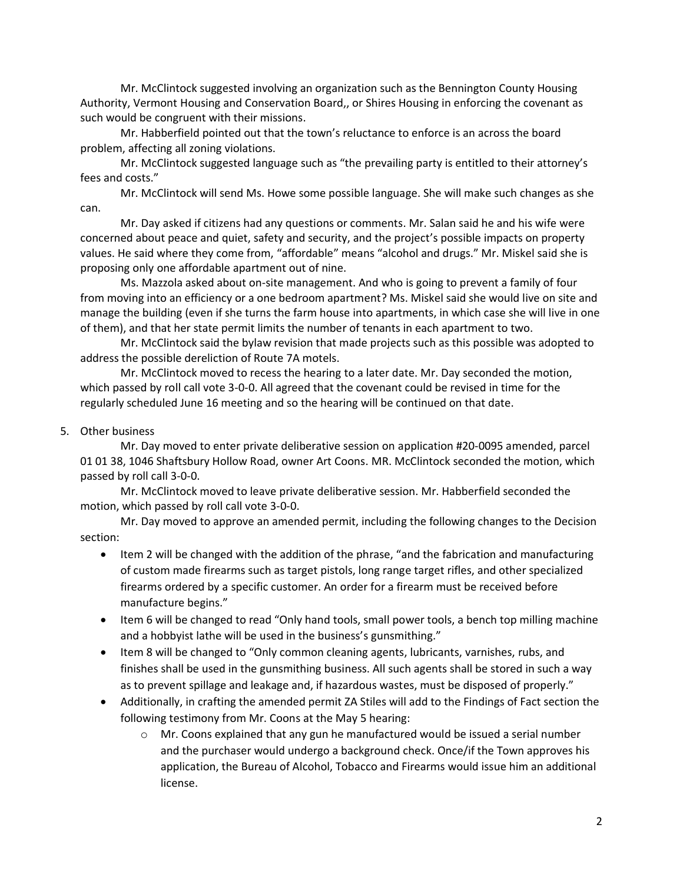Mr. McClintock suggested involving an organization such as the Bennington County Housing Authority, Vermont Housing and Conservation Board,, or Shires Housing in enforcing the covenant as such would be congruent with their missions.

Mr. Habberfield pointed out that the town's reluctance to enforce is an across the board problem, affecting all zoning violations.

Mr. McClintock suggested language such as "the prevailing party is entitled to their attorney's fees and costs."

Mr. McClintock will send Ms. Howe some possible language. She will make such changes as she can.

Mr. Day asked if citizens had any questions or comments. Mr. Salan said he and his wife were concerned about peace and quiet, safety and security, and the project's possible impacts on property values. He said where they come from, "affordable" means "alcohol and drugs." Mr. Miskel said she is proposing only one affordable apartment out of nine.

Ms. Mazzola asked about on-site management. And who is going to prevent a family of four from moving into an efficiency or a one bedroom apartment? Ms. Miskel said she would live on site and manage the building (even if she turns the farm house into apartments, in which case she will live in one of them), and that her state permit limits the number of tenants in each apartment to two.

Mr. McClintock said the bylaw revision that made projects such as this possible was adopted to address the possible dereliction of Route 7A motels.

Mr. McClintock moved to recess the hearing to a later date. Mr. Day seconded the motion, which passed by roll call vote 3-0-0. All agreed that the covenant could be revised in time for the regularly scheduled June 16 meeting and so the hearing will be continued on that date.

## 5. Other business

Mr. Day moved to enter private deliberative session on application #20-0095 amended, parcel 01 01 38, 1046 Shaftsbury Hollow Road, owner Art Coons. MR. McClintock seconded the motion, which passed by roll call 3-0-0.

Mr. McClintock moved to leave private deliberative session. Mr. Habberfield seconded the motion, which passed by roll call vote 3-0-0.

Mr. Day moved to approve an amended permit, including the following changes to the Decision section:

- Item 2 will be changed with the addition of the phrase, "and the fabrication and manufacturing of custom made firearms such as target pistols, long range target rifles, and other specialized firearms ordered by a specific customer. An order for a firearm must be received before manufacture begins."
- Item 6 will be changed to read "Only hand tools, small power tools, a bench top milling machine and a hobbyist lathe will be used in the business's gunsmithing."
- Item 8 will be changed to "Only common cleaning agents, lubricants, varnishes, rubs, and finishes shall be used in the gunsmithing business. All such agents shall be stored in such a way as to prevent spillage and leakage and, if hazardous wastes, must be disposed of properly."
- Additionally, in crafting the amended permit ZA Stiles will add to the Findings of Fact section the following testimony from Mr. Coons at the May 5 hearing:
	- $\circ$  Mr. Coons explained that any gun he manufactured would be issued a serial number and the purchaser would undergo a background check. Once/if the Town approves his application, the Bureau of Alcohol, Tobacco and Firearms would issue him an additional license.